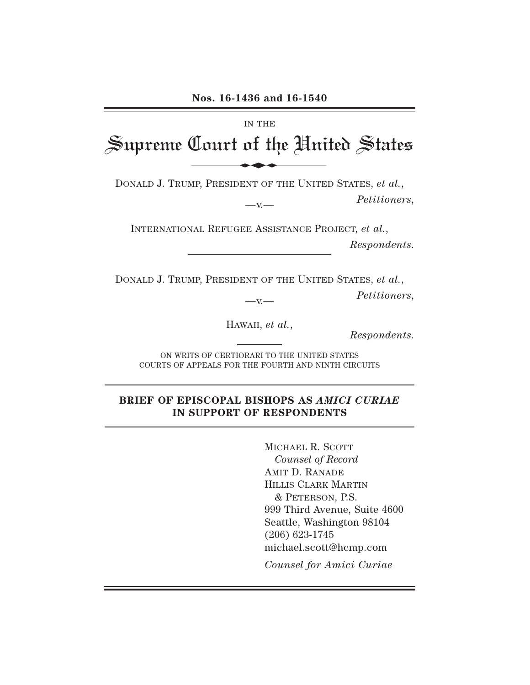#### IN THE

Supreme Court of the United States Nos. 16-1436 and 16-1540

DONALD J. TRUMP, PRESIDENT OF THE UNITED STATES, *et al.*,

—v.— *Petitioners,*

INTERNATIONAL REFUGEE ASSISTANCE PROJECT, *et al.*, *Respondents.*

DONALD J. TRUMP, PRESIDENT OF THE UNITED STATES, *et al.*,

—v.— *Petitioners,*

HAWAII, *et al.*, *Respondents.*

ON WRITS OF CERTIORARI TO THE UNITED STATES COURTS OF APPEALS FOR THE FOURTH AND NINTH CIRCUITS

### **BRIEF OF EPISCOPAL BISHOPS AS** *AMICI CURIAE* **IN SUPPORT OF RESPONDENTS**

MICHAEL R. SCOTT *Counsel of Record* AMIT D. RANADE HILLIS CLARK MARTIN & PETERSON, P.S. 999 Third Avenue, Suite 4600 Seattle, Washington 98104 (206) 623-1745 michael.scott@hcmp.com

*Counsel for Amici Curiae*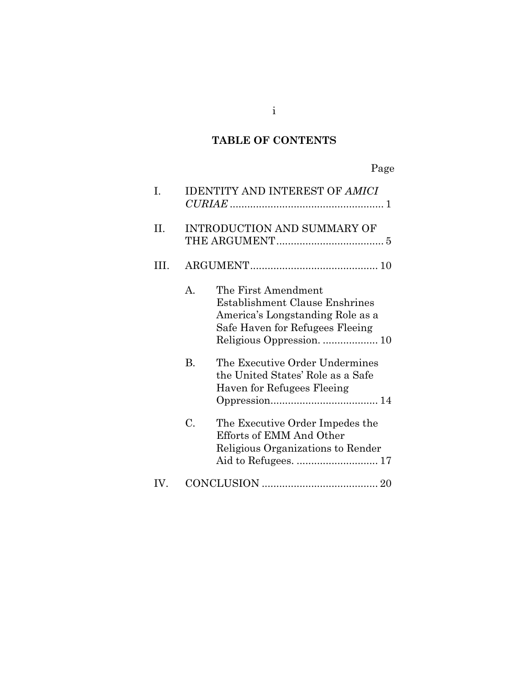# **TABLE OF CONTENTS**

# Page

| I.   |              | <b>IDENTITY AND INTEREST OF AMICI</b>                                                                                        |  |  |
|------|--------------|------------------------------------------------------------------------------------------------------------------------------|--|--|
| II.  |              | <b>INTRODUCTION AND SUMMARY OF</b>                                                                                           |  |  |
| III. |              |                                                                                                                              |  |  |
|      | $\mathbf{A}$ | The First Amendment<br>Establishment Clause Enshrines<br>America's Longstanding Role as a<br>Safe Haven for Refugees Fleeing |  |  |
|      | <b>B.</b>    | The Executive Order Undermines<br>the United States' Role as a Safe<br>Haven for Refugees Fleeing                            |  |  |
|      | C.           | The Executive Order Impedes the<br>Efforts of EMM And Other<br>Religious Organizations to Render                             |  |  |
| IV.  |              |                                                                                                                              |  |  |

i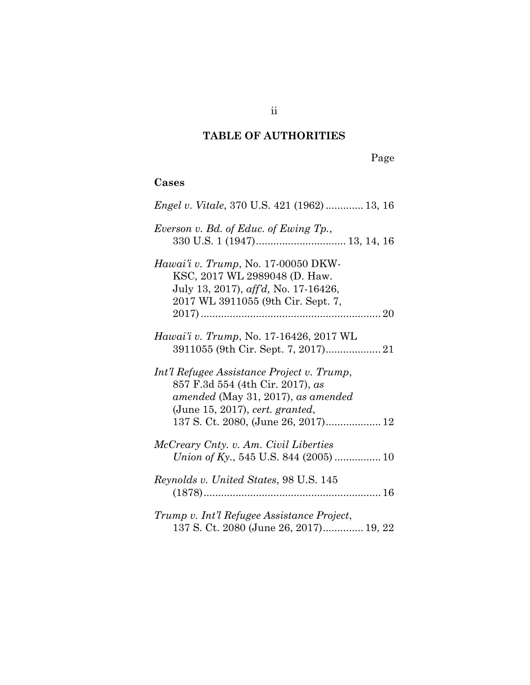## **TABLE OF AUTHORITIES**

ii

Page

### **Cases**

| <i>Engel v. Vitale, 370 U.S. 421 (1962)  13, 16</i>                                                                                                                                            |
|------------------------------------------------------------------------------------------------------------------------------------------------------------------------------------------------|
| Everson v. Bd. of Educ. of Ewing Tp.,                                                                                                                                                          |
| <i>Hawai'i v. Trump</i> , No. 17-00050 DKW-<br>KSC, 2017 WL 2989048 (D. Haw.<br>July 13, 2017), aff'd, No. 17-16426,<br>2017 WL 3911055 (9th Cir. Sept. 7,                                     |
| <i>Hawai'i v. Trump, No.</i> 17-16426, 2017 WL                                                                                                                                                 |
| Int'l Refugee Assistance Project v. Trump,<br>857 F.3d 554 (4th Cir. 2017), as<br>amended (May 31, 2017), as amended<br>(June 15, 2017), cert. granted,<br>137 S. Ct. 2080, (June 26, 2017) 12 |
| McCreary Cnty. v. Am. Civil Liberties                                                                                                                                                          |
| <i>Reynolds v. United States, 98 U.S. 145</i>                                                                                                                                                  |
| Trump v. Int'l Refugee Assistance Project,<br>137 S. Ct. 2080 (June 26, 2017) 19, 22                                                                                                           |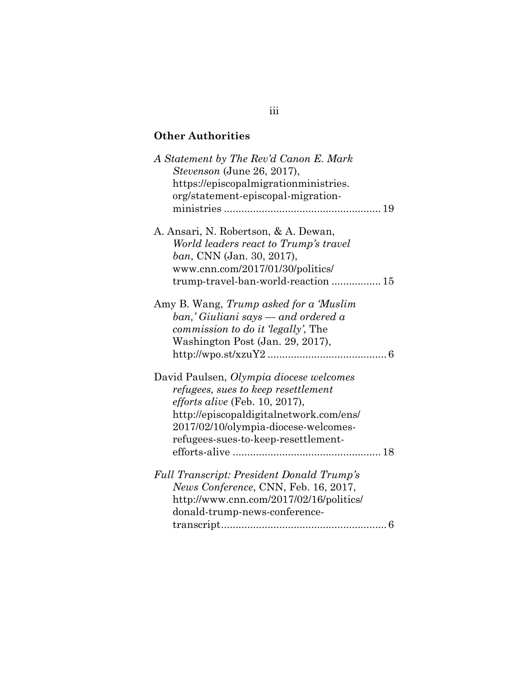## **Other Authorities**

| A Statement by The Rev'd Canon E. Mark<br>Stevenson (June 26, 2017),<br>https://episcopalmigrationministries.<br>org/statement-episcopal-migration-                                                                                               |
|---------------------------------------------------------------------------------------------------------------------------------------------------------------------------------------------------------------------------------------------------|
| A. Ansari, N. Robertson, & A. Dewan,<br>World leaders react to Trump's travel<br>ban, CNN (Jan. 30, 2017),<br>www.cnn.com/2017/01/30/politics/<br>trump-travel-ban-world-reaction  15                                                             |
| Amy B. Wang, Trump asked for a 'Muslim<br>$ban, 'Giuliani$ says — and ordered a<br><i>commission to do it 'legally'</i> , The<br>Washington Post (Jan. 29, 2017),                                                                                 |
| David Paulsen, Olympia diocese welcomes<br>refugees, sues to keep resettlement<br><i>efforts alive</i> (Feb. 10, 2017),<br>http://episcopaldigitalnetwork.com/ens/<br>2017/02/10/olympia-diocese-welcomes-<br>refugees-sues-to-keep-resettlement- |
| <b>Full Transcript: President Donald Trump's</b><br>News Conference, CNN, Feb. 16, 2017,<br>http://www.cnn.com/2017/02/16/politics/<br>donald-trump-news-conference-<br>6                                                                         |

### iii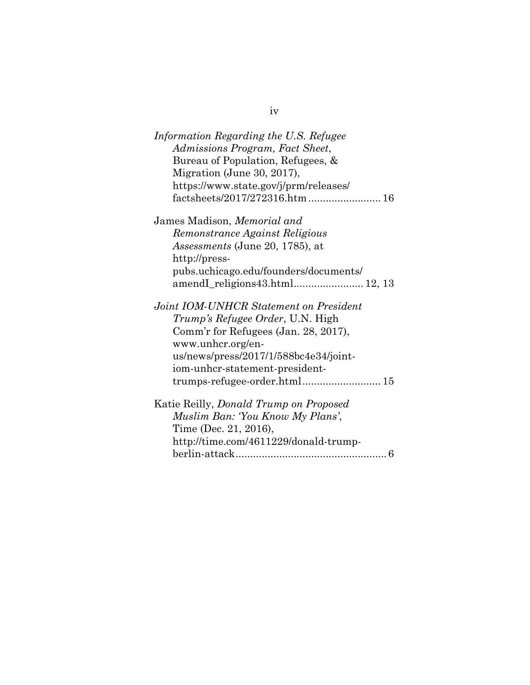| Information Regarding the U.S. Refugee        |
|-----------------------------------------------|
| Admissions Program, Fact Sheet,               |
| Bureau of Population, Refugees, &             |
| Migration (June 30, 2017),                    |
| https://www.state.gov/j/prm/releases/         |
| factsheets/2017/272316.htm  16                |
| James Madison, Memorial and                   |
| Remonstrance Against Religious                |
| <i>Assessments</i> (June 20, 1785), at        |
| http://press-                                 |
| pubs.uchicago.edu/founders/documents/         |
| amendI_religions43.html 12, 13                |
| Joint IOM-UNHCR Statement on President        |
| <i>Trump's Refugee Order</i> , U.N. High      |
| Comm'r for Refugees (Jan. 28, 2017),          |
| www.unhcr.org/en-                             |
| us/news/press/2017/1/588bc4e34/joint-         |
| iom-unhcr-statement-president-                |
|                                               |
| Katie Reilly, <i>Donald Trump on Proposed</i> |
| Muslim Ban: 'You Know My Plans',              |
| Time (Dec. 21, 2016),                         |
| http://time.com/4611229/donald-trump-         |
|                                               |

iv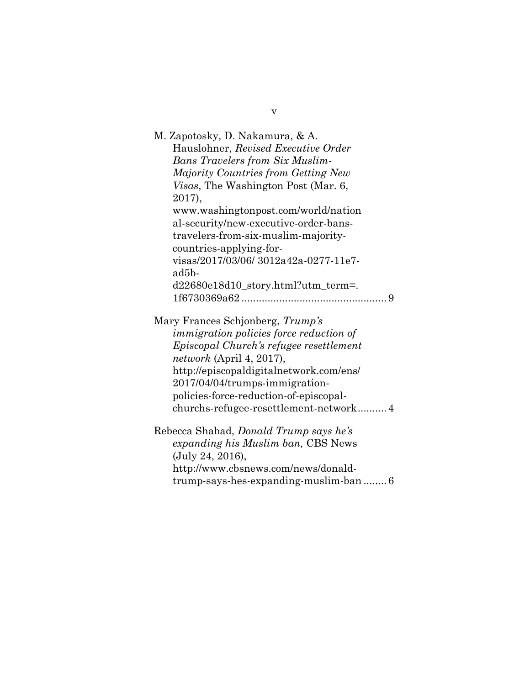| M. Zapotosky, D. Nakamura, & A.                                               |
|-------------------------------------------------------------------------------|
| Hauslohner, Revised Executive Order                                           |
| <b>Bans Travelers from Six Muslim-</b>                                        |
| Majority Countries from Getting New                                           |
| <i>Visas</i> , The Washington Post (Mar. 6,                                   |
| 2017),                                                                        |
| www.washingtonpost.com/world/nation                                           |
| al-security/new-executive-order-bans-                                         |
| travelers-from-six-muslim-majority-                                           |
| countries-applying-for-                                                       |
| visas/2017/03/06/3012a42a-0277-11e7-                                          |
| ad5b-                                                                         |
| d22680e18d10_story.html?utm_term=.                                            |
|                                                                               |
| Mary Frances Schjonberg, Trump's                                              |
| <i>immigration policies force reduction of</i>                                |
| Episcopal Church's refugee resettlement                                       |
|                                                                               |
| <i>network</i> (April 4, 2017),                                               |
| http://episcopaldigitalnetwork.com/ens/                                       |
| 2017/04/04/trumps-immigration-                                                |
| policies-force-reduction-of-episcopal-                                        |
| churchs-refugee-resettlement-network4                                         |
|                                                                               |
| Rebecca Shabad, Donald Trump says he's                                        |
| expanding his Muslim ban, CBS News                                            |
| (July 24, 2016),                                                              |
| http://www.cbsnews.com/news/donald-<br>trump-says-hes-expanding-muslim-ban  6 |

v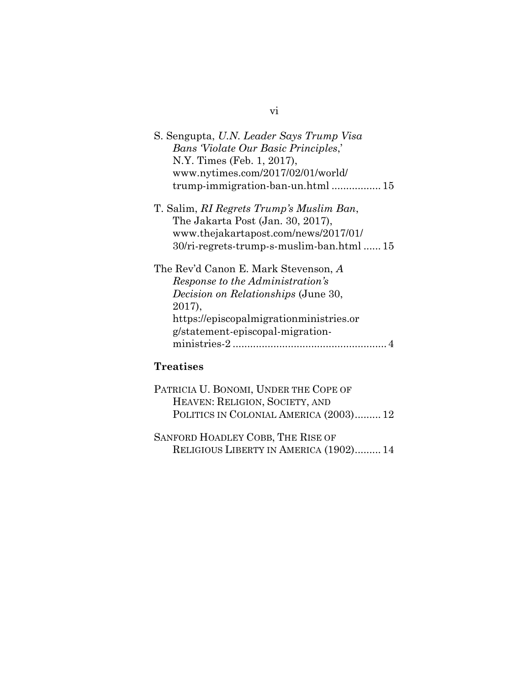| S. Sengupta, U.N. Leader Says Trump Visa   |
|--------------------------------------------|
| <b>Bans Violate Our Basic Principles,'</b> |
| N.Y. Times (Feb. 1, 2017),                 |
| www.nytimes.com/2017/02/01/world/          |
| trump-immigration-ban-un.html  15          |
| T. Salim, RI Regrets Trump's Muslim Ban,   |
| The Jakarta Post (Jan. 30, 2017),          |
| www.thejakartapost.com/news/2017/01/       |
| 30/ri-regrets-trump-s-muslim-ban.html  15  |
| The Rev'd Canon E. Mark Stevenson, A       |
| Response to the Administration's           |
| <i>Decision on Relationships</i> (June 30, |
| 2017),                                     |
| https://episcopalmigrationministries.or    |
| g/statement-episcopal-migration-           |
| ministries-2.                              |
|                                            |

# **Treatises**

| PATRICIA U. BONOMI, UNDER THE COPE OF  |  |
|----------------------------------------|--|
| HEAVEN: RELIGION, SOCIETY, AND         |  |
| POLITICS IN COLONIAL AMERICA (2003) 12 |  |
|                                        |  |

| SANFORD HOADLEY COBB, THE RISE OF      |  |
|----------------------------------------|--|
| RELIGIOUS LIBERTY IN AMERICA (1902) 14 |  |

## vi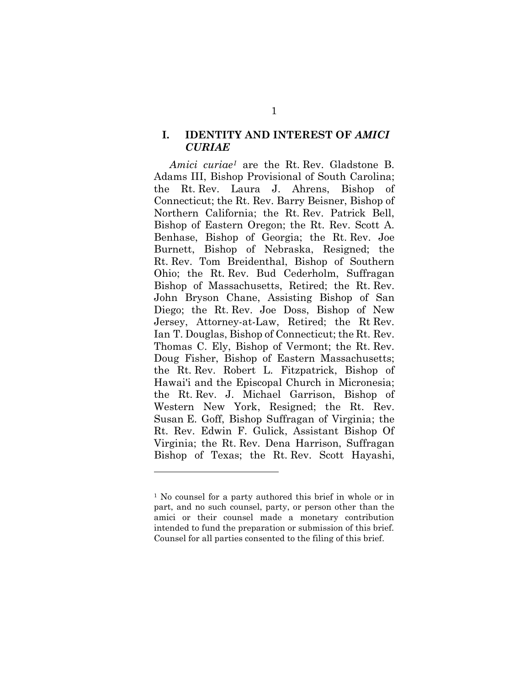### **I. IDENTITY AND INTEREST OF** *AMICI CURIAE*

*Amici curiae<sup>1</sup>* are the Rt. Rev. Gladstone B. Adams III, Bishop Provisional of South Carolina; the Rt. Rev. Laura J. Ahrens, Bishop of Connecticut; the Rt. Rev. Barry Beisner, Bishop of Northern California; the Rt. Rev. Patrick Bell, Bishop of Eastern Oregon; the Rt. Rev. Scott A. Benhase, Bishop of Georgia; the Rt. Rev. Joe Burnett, Bishop of Nebraska, Resigned; the Rt. Rev. Tom Breidenthal, Bishop of Southern Ohio; the Rt. Rev. Bud Cederholm, Suffragan Bishop of Massachusetts, Retired; the Rt. Rev. John Bryson Chane, Assisting Bishop of San Diego; the Rt. Rev. Joe Doss, Bishop of New Jersey, Attorney-at-Law, Retired; the Rt Rev. Ian T. Douglas, Bishop of Connecticut; the Rt. Rev. Thomas C. Ely, Bishop of Vermont; the Rt. Rev. Doug Fisher, Bishop of Eastern Massachusetts; the Rt. Rev. Robert L. Fitzpatrick, Bishop of Hawai'i and the Episcopal Church in Micronesia; the Rt. Rev. J. Michael Garrison, Bishop of Western New York, Resigned; the Rt. Rev. Susan E. Goff, Bishop Suffragan of Virginia; the Rt. Rev. Edwin F. Gulick, Assistant Bishop Of Virginia; the Rt. Rev. Dena Harrison, Suffragan Bishop of Texas; the Rt. Rev. Scott Hayashi,

<sup>&</sup>lt;sup>1</sup> No counsel for a party authored this brief in whole or in part, and no such counsel, party, or person other than the amici or their counsel made a monetary contribution intended to fund the preparation or submission of this brief. Counsel for all parties consented to the filing of this brief.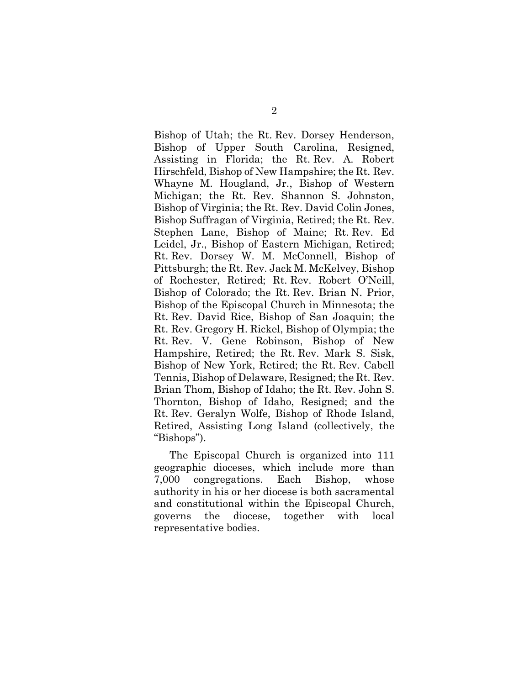Bishop of Utah; the Rt. Rev. Dorsey Henderson, Bishop of Upper South Carolina, Resigned, Assisting in Florida; the Rt. Rev. A. Robert Hirschfeld, Bishop of New Hampshire; the Rt. Rev. Whayne M. Hougland, Jr., Bishop of Western Michigan; the Rt. Rev. Shannon S. Johnston, Bishop of Virginia; the Rt. Rev. David Colin Jones, Bishop Suffragan of Virginia, Retired; the Rt. Rev. Stephen Lane, Bishop of Maine; Rt. Rev. Ed Leidel, Jr., Bishop of Eastern Michigan, Retired; Rt. Rev. Dorsey W. M. McConnell, Bishop of Pittsburgh; the Rt. Rev. Jack M. McKelvey, Bishop of Rochester, Retired; Rt. Rev. Robert O'Neill, Bishop of Colorado; the Rt. Rev. Brian N. Prior, Bishop of the Episcopal Church in Minnesota; the Rt. Rev. David Rice, Bishop of San Joaquin; the Rt. Rev. Gregory H. Rickel, Bishop of Olympia; the Rt. Rev. V. Gene Robinson, Bishop of New Hampshire, Retired; the Rt. Rev. Mark S. Sisk, Bishop of New York, Retired; the Rt. Rev. Cabell Tennis, Bishop of Delaware, Resigned; the Rt. Rev. Brian Thom, Bishop of Idaho; the Rt. Rev. John S. Thornton, Bishop of Idaho, Resigned; and the Rt. Rev. Geralyn Wolfe, Bishop of Rhode Island, Retired, Assisting Long Island (collectively, the "Bishops").

The Episcopal Church is organized into 111 geographic dioceses, which include more than 7,000 congregations. Each Bishop, whose authority in his or her diocese is both sacramental and constitutional within the Episcopal Church, governs the diocese, together with local representative bodies.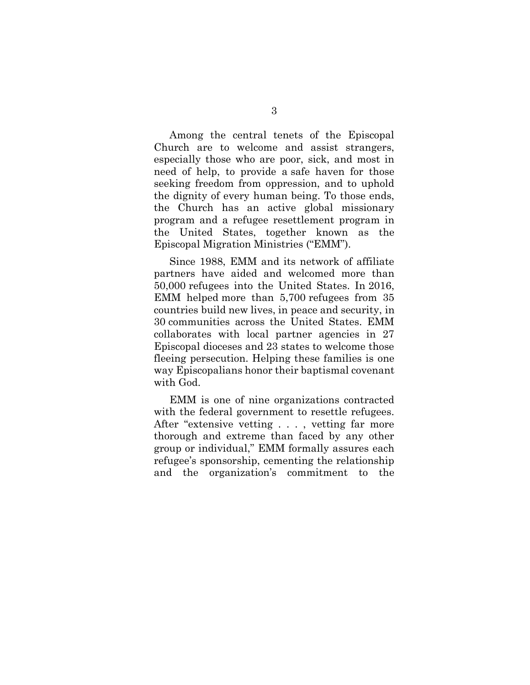Among the central tenets of the Episcopal Church are to welcome and assist strangers, especially those who are poor, sick, and most in need of help, to provide a safe haven for those seeking freedom from oppression, and to uphold the dignity of every human being. To those ends, the Church has an active global missionary program and a refugee resettlement program in the United States, together known as the Episcopal Migration Ministries ("EMM").

Since 1988, EMM and its network of affiliate partners have aided and welcomed more than 50,000 refugees into the United States. In 2016, EMM helped more than 5,700 refugees from 35 countries build new lives, in peace and security, in 30 communities across the United States. EMM collaborates with local partner agencies in 27 Episcopal dioceses and 23 states to welcome those fleeing persecution. Helping these families is one way Episcopalians honor their baptismal covenant with God.

EMM is one of nine organizations contracted with the federal government to resettle refugees. After "extensive vetting . . . , vetting far more thorough and extreme than faced by any other group or individual," EMM formally assures each refugee's sponsorship, cementing the relationship and the organization's commitment to the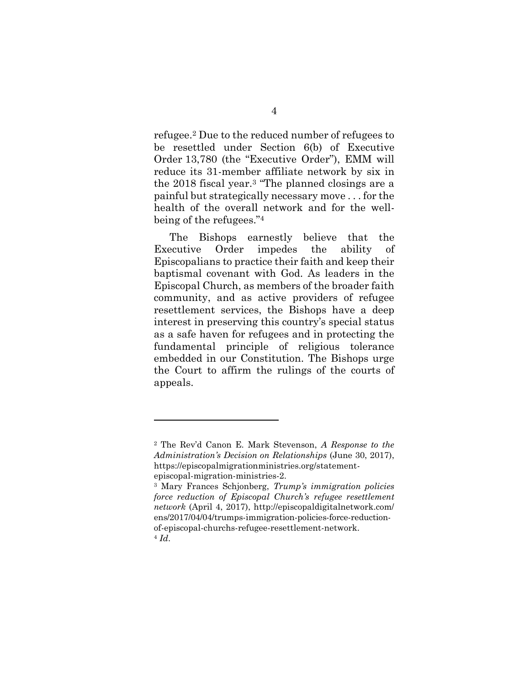refugee.<sup>2</sup> Due to the reduced number of refugees to be resettled under Section 6(b) of Executive Order 13,780 (the "Executive Order"), EMM will reduce its 31-member affiliate network by six in the 2018 fiscal year.<sup>3</sup> "The planned closings are a painful but strategically necessary move . . . for the health of the overall network and for the wellbeing of the refugees."<sup>4</sup>

The Bishops earnestly believe that the Executive Order impedes the ability of Episcopalians to practice their faith and keep their baptismal covenant with God. As leaders in the Episcopal Church, as members of the broader faith community, and as active providers of refugee resettlement services, the Bishops have a deep interest in preserving this country's special status as a safe haven for refugees and in protecting the fundamental principle of religious tolerance embedded in our Constitution. The Bishops urge the Court to affirm the rulings of the courts of appeals.

<sup>2</sup> The Rev'd Canon E. Mark Stevenson, *A Response to the Administration's Decision on Relationships* (June 30, 2017), https://episcopalmigrationministries.org/statementepiscopal-migration-ministries-2.

<sup>3</sup> Mary Frances Schjonberg, *Trump's immigration policies force reduction of Episcopal Church's refugee resettlement network* (April 4, 2017), http://episcopaldigitalnetwork.com/ ens/2017/04/04/trumps-immigration-policies-force-reductionof-episcopal-churchs-refugee-resettlement-network. <sup>4</sup> *Id*.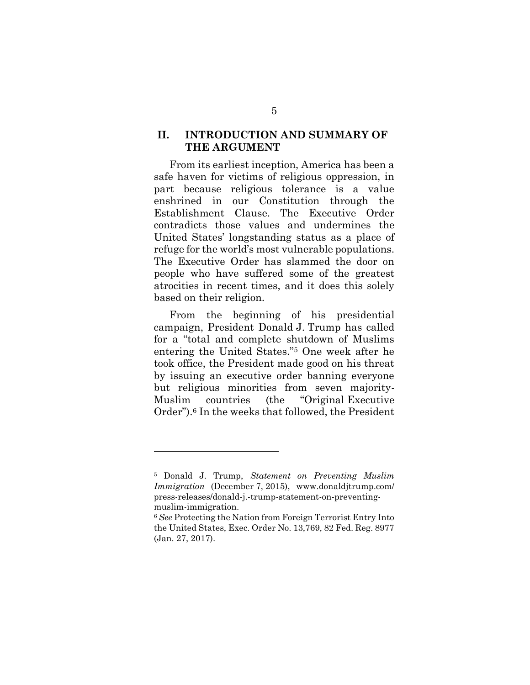### **II. INTRODUCTION AND SUMMARY OF THE ARGUMENT**

From its earliest inception, America has been a safe haven for victims of religious oppression, in part because religious tolerance is a value enshrined in our Constitution through the Establishment Clause. The Executive Order contradicts those values and undermines the United States' longstanding status as a place of refuge for the world's most vulnerable populations. The Executive Order has slammed the door on people who have suffered some of the greatest atrocities in recent times, and it does this solely based on their religion.

From the beginning of his presidential campaign, President Donald J. Trump has called for a "total and complete shutdown of Muslims entering the United States."<sup>5</sup> One week after he took office, the President made good on his threat by issuing an executive order banning everyone but religious minorities from seven majority-Muslim countries (the "Original Executive Order"). <sup>6</sup> In the weeks that followed, the President

<sup>5</sup> Donald J. Trump, *Statement on Preventing Muslim Immigration* (December 7, 2015), www.donaldjtrump.com/ press-releases/donald-j.-trump-statement-on-preventingmuslim-immigration.

<sup>6</sup> *See* Protecting the Nation from Foreign Terrorist Entry Into the United States, Exec. Order No. 13,769, 82 Fed. Reg. 8977 (Jan. 27, 2017).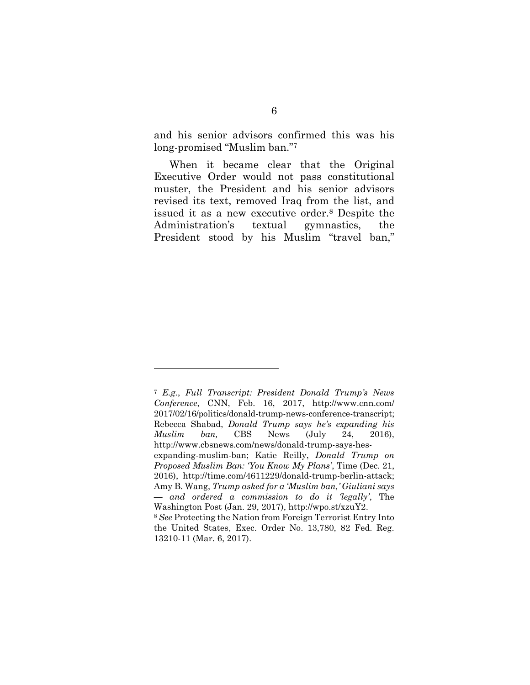and his senior advisors confirmed this was his long-promised "Muslim ban."<sup>7</sup>

When it became clear that the Original Executive Order would not pass constitutional muster, the President and his senior advisors revised its text, removed Iraq from the list, and issued it as a new executive order.<sup>8</sup> Despite the Administration's textual gymnastics, the President stood by his Muslim "travel ban,"

<sup>7</sup> *E.g.*, *Full Transcript: President Donald Trump's News Conference*, CNN, Feb. 16, 2017, http://www.cnn.com/ 2017/02/16/politics/donald-trump-news-conference-transcript; Rebecca Shabad, *Donald Trump says he's expanding his Muslim ban,* CBS News (July 24, 2016), http://www.cbsnews.com/news/donald-trump-says-hesexpanding-muslim-ban; Katie Reilly, *Donald Trump on Proposed Muslim Ban: 'You Know My Plans'*, Time (Dec. 21, 2016), http://time.com/4611229/donald-trump-berlin-attack; Amy B. Wang, *Trump asked for a 'Muslim ban,' Giuliani says — and ordered a commission to do it 'legally'*, The Washington Post (Jan. 29, 2017), http://wpo.st/xzuY2. <sup>8</sup> *See* Protecting the Nation from Foreign Terrorist Entry Into the United States, Exec. Order No. 13,780, 82 Fed. Reg. 13210-11 (Mar. 6, 2017).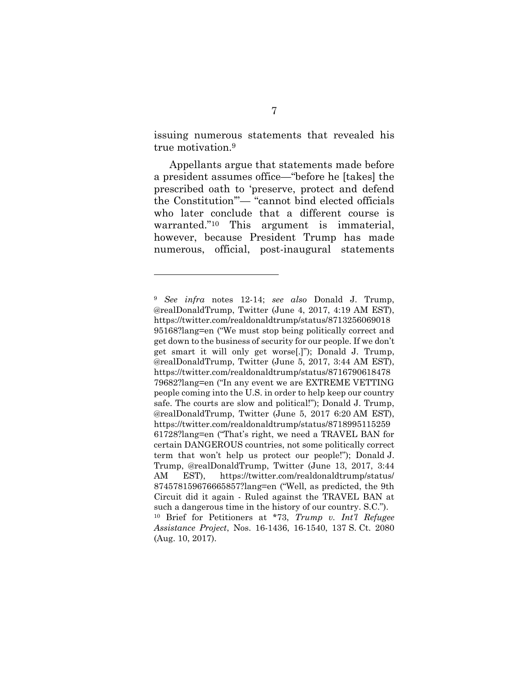issuing numerous statements that revealed his true motivation.<sup>9</sup>

Appellants argue that statements made before a president assumes office—"before he [takes] the prescribed oath to 'preserve, protect and defend the Constitution'"— "cannot bind elected officials who later conclude that a different course is warranted."<sup>10</sup> This argument is immaterial, however, because President Trump has made numerous, official, post-inaugural statements

<sup>9</sup> *See infra* notes 12-14; *see also* Donald J. Trump, @realDonaldTrump, Twitter (June 4, 2017, 4:19 AM EST), https://twitter.com/realdonaldtrump/status/8713256069018 95168?lang=en ("We must stop being politically correct and get down to the business of security for our people. If we don't get smart it will only get worse[.]"); Donald J. Trump, @realDonaldTrump, Twitter (June 5, 2017, 3:44 AM EST), https://twitter.com/realdonaldtrump/status/8716790618478 79682?lang=en ("In any event we are EXTREME VETTING people coming into the U.S. in order to help keep our country safe. The courts are slow and political!"); Donald J. Trump, @realDonaldTrump, Twitter (June 5, 2017 6:20 AM EST), https://twitter.com/realdonaldtrump/status/8718995115259 61728?lang=en ("That's right, we need a TRAVEL BAN for certain DANGEROUS countries, not some politically correct term that won't help us protect our people!"); Donald J. Trump, @realDonaldTrump, Twitter (June 13, 2017, 3:44 AM EST), https://twitter.com/realdonaldtrump/status/ 874578159676665857?lang=en ("Well, as predicted, the 9th Circuit did it again - Ruled against the TRAVEL BAN at such a dangerous time in the history of our country. S.C."). <sup>10</sup> Brief for Petitioners at \*73, *Trump v. Int'l Refugee Assistance Project*, Nos. 16-1436, 16-1540, 137 S. Ct. 2080 (Aug. 10, 2017).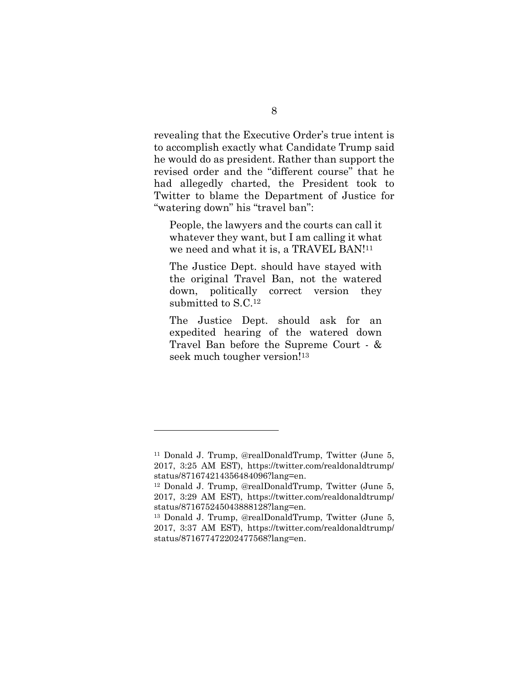revealing that the Executive Order's true intent is to accomplish exactly what Candidate Trump said he would do as president. Rather than support the revised order and the "different course" that he had allegedly charted, the President took to Twitter to blame the Department of Justice for "watering down" his "travel ban":

People, the lawyers and the courts can call it whatever they want, but I am calling it what we need and what it is, a TRAVEL BAN!<sup>11</sup>

The Justice Dept. should have stayed with the original Travel Ban, not the watered down, politically correct version they submitted to S.C.<sup>12</sup>

The Justice Dept. should ask for an expedited hearing of the watered down Travel Ban before the Supreme Court - & seek much tougher version!<sup>13</sup>

<sup>11</sup> Donald J. Trump, @realDonaldTrump, Twitter (June 5, 2017, 3:25 AM EST), https://twitter.com/realdonaldtrump/ status/871674214356484096?lang=en.

<sup>12</sup> Donald J. Trump, @realDonaldTrump, Twitter (June 5, 2017, 3:29 AM EST), https://twitter.com/realdonaldtrump/ status/871675245043888128?lang=en.

<sup>13</sup> Donald J. Trump, @realDonaldTrump, Twitter (June 5, 2017, 3:37 AM EST), https://twitter.com/realdonaldtrump/ status/871677472202477568?lang=en.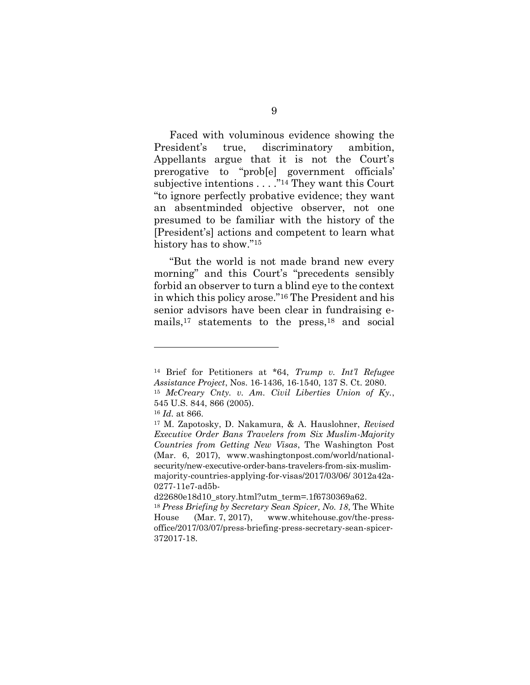Faced with voluminous evidence showing the President's true, discriminatory ambition, Appellants argue that it is not the Court's prerogative to "prob[e] government officials' subjective intentions  $\ldots$ ."<sup>14</sup> They want this Court "to ignore perfectly probative evidence; they want an absentminded objective observer, not one presumed to be familiar with the history of the [President's] actions and competent to learn what history has to show."<sup>15</sup>

"But the world is not made brand new every morning" and this Court's "precedents sensibly forbid an observer to turn a blind eye to the context in which this policy arose."<sup>16</sup> The President and his senior advisors have been clear in fundraising emails, <sup>17</sup> statements to the press, <sup>18</sup> and social

<sup>14</sup> Brief for Petitioners at \*64, *Trump v. Int'l Refugee Assistance Project*, Nos. 16-1436, 16-1540, 137 S. Ct. 2080. <sup>15</sup> *McCreary Cnty. v. Am. Civil Liberties Union of Ky.*, 545 U.S. 844, 866 (2005).

<sup>16</sup> *Id.* at 866.

<sup>17</sup> M. Zapotosky, D. Nakamura, & A. Hauslohner, *Revised Executive Order Bans Travelers from Six Muslim-Majority Countries from Getting New Visas*, The Washington Post (Mar. 6, 2017), www.washingtonpost.com/world/nationalsecurity/new-executive-order-bans-travelers-from-six-muslimmajority-countries-applying-for-visas/2017/03/06/ 3012a42a-0277-11e7-ad5b-

d22680e18d10\_story.html?utm\_term=.1f6730369a62.

<sup>18</sup> *Press Briefing by Secretary Sean Spicer, No. 18*, The White House (Mar. 7, 2017), www.whitehouse.gov/the-pressoffice/2017/03/07/press-briefing-press-secretary-sean-spicer-372017-18.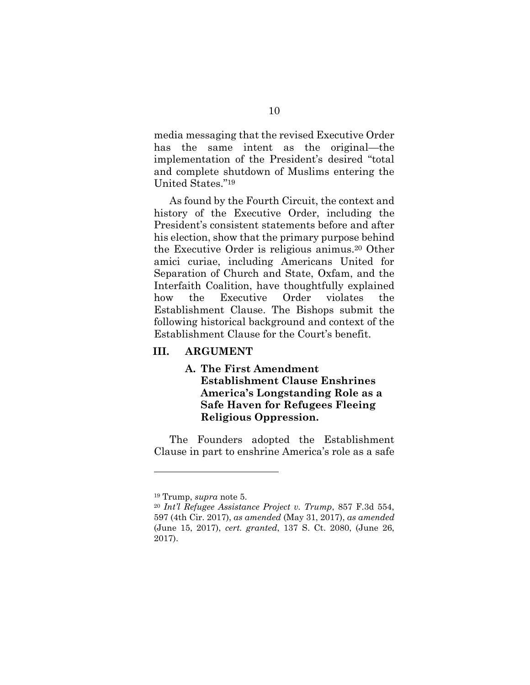media messaging that the revised Executive Order has the same intent as the original—the implementation of the President's desired "total and complete shutdown of Muslims entering the United States."<sup>19</sup>

As found by the Fourth Circuit, the context and history of the Executive Order, including the President's consistent statements before and after his election, show that the primary purpose behind the Executive Order is religious animus. <sup>20</sup> Other amici curiae, including Americans United for Separation of Church and State, Oxfam, and the Interfaith Coalition, have thoughtfully explained how the Executive Order violates the Establishment Clause. The Bishops submit the following historical background and context of the Establishment Clause for the Court's benefit.

#### **III. ARGUMENT**

**A. The First Amendment Establishment Clause Enshrines America's Longstanding Role as a Safe Haven for Refugees Fleeing Religious Oppression.**

The Founders adopted the Establishment Clause in part to enshrine America's role as a safe

<sup>19</sup> Trump, *supra* note 5.

<sup>20</sup> *Int'l Refugee Assistance Project v. Trump*, 857 F.3d 554, 597 (4th Cir. 2017), *as amended* (May 31, 2017), *as amended* (June 15, 2017), *cert. granted*, 137 S. Ct. 2080, (June 26, 2017).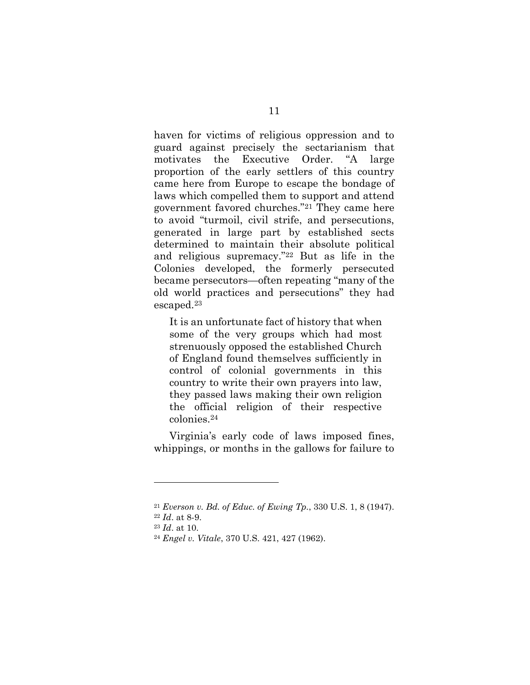haven for victims of religious oppression and to guard against precisely the sectarianism that motivates the Executive Order. "A large proportion of the early settlers of this country came here from Europe to escape the bondage of laws which compelled them to support and attend government favored churches."<sup>21</sup> They came here to avoid "turmoil, civil strife, and persecutions, generated in large part by established sects determined to maintain their absolute political and religious supremacy."<sup>22</sup> But as life in the Colonies developed, the formerly persecuted became persecutors—often repeating "many of the old world practices and persecutions" they had escaped.<sup>23</sup>

It is an unfortunate fact of history that when some of the very groups which had most strenuously opposed the established Church of England found themselves sufficiently in control of colonial governments in this country to write their own prayers into law, they passed laws making their own religion the official religion of their respective colonies.<sup>24</sup>

Virginia's early code of laws imposed fines, whippings, or months in the gallows for failure to

<sup>21</sup> *Everson v. Bd. of Educ. of Ewing Tp.*, 330 U.S. 1, 8 (1947).

<sup>22</sup> *Id*. at 8-9.

<sup>23</sup> *Id*. at 10.

<sup>24</sup> *Engel v. Vitale*, 370 U.S. 421, 427 (1962).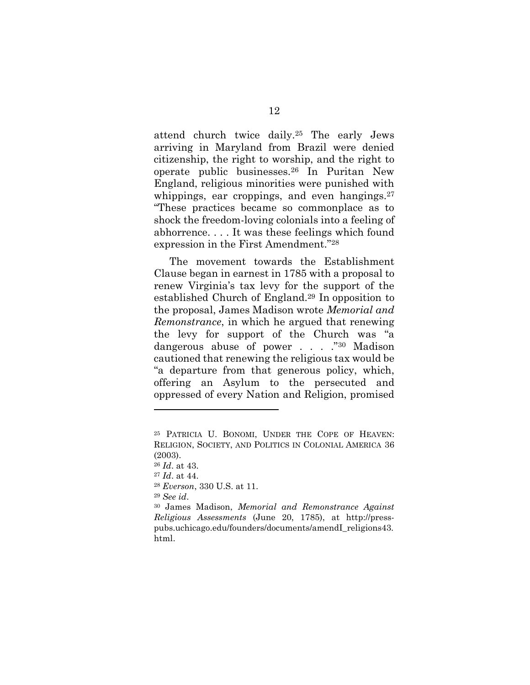attend church twice daily.<sup>25</sup> The early Jews arriving in Maryland from Brazil were denied citizenship, the right to worship, and the right to operate public businesses.<sup>26</sup> In Puritan New England, religious minorities were punished with whippings, ear croppings, and even hangings.<sup>27</sup> "These practices became so commonplace as to shock the freedom-loving colonials into a feeling of abhorrence. . . . It was these feelings which found expression in the First Amendment."<sup>28</sup>

The movement towards the Establishment Clause began in earnest in 1785 with a proposal to renew Virginia's tax levy for the support of the established Church of England.<sup>29</sup> In opposition to the proposal, James Madison wrote *Memorial and Remonstrance*, in which he argued that renewing the levy for support of the Church was "a dangerous abuse of power . . . . . "30 Madison" cautioned that renewing the religious tax would be "a departure from that generous policy, which, offering an Asylum to the persecuted and oppressed of every Nation and Religion, promised

<sup>25</sup> PATRICIA U. BONOMI, UNDER THE COPE OF HEAVEN: RELIGION, SOCIETY, AND POLITICS IN COLONIAL AMERICA 36 (2003).

<sup>26</sup> *Id*. at 43.

<sup>27</sup> *Id*. at 44.

<sup>28</sup> *Everson*, 330 U.S. at 11.

<sup>29</sup> *See id*.

<sup>30</sup> James Madison, *Memorial and Remonstrance Against Religious Assessments* (June 20, 1785), at [http://press](http://press-pubs.uchicago.edu/founders/documents/amendI_religions43.html)[pubs.uchicago.edu/founders/documents/amendI\\_religions43.](http://press-pubs.uchicago.edu/founders/documents/amendI_religions43.html) [html.](http://press-pubs.uchicago.edu/founders/documents/amendI_religions43.html)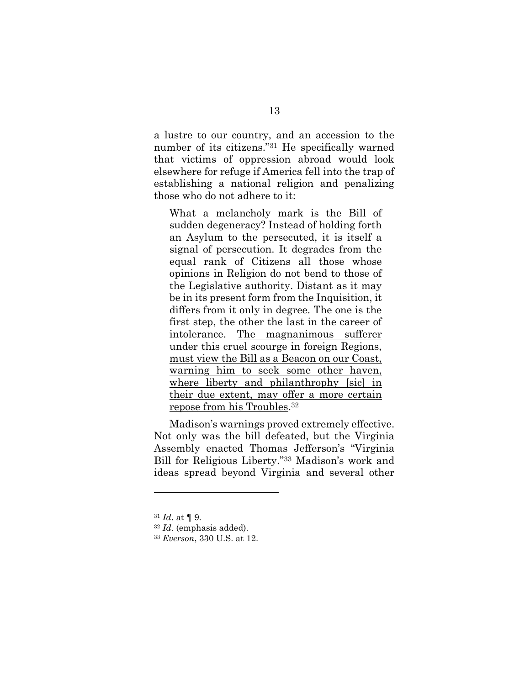a lustre to our country, and an accession to the number of its citizens."<sup>31</sup> He specifically warned that victims of oppression abroad would look elsewhere for refuge if America fell into the trap of establishing a national religion and penalizing those who do not adhere to it:

What a melancholy mark is the Bill of sudden degeneracy? Instead of holding forth an Asylum to the persecuted, it is itself a signal of persecution. It degrades from the equal rank of Citizens all those whose opinions in Religion do not bend to those of the Legislative authority. Distant as it may be in its present form from the Inquisition, it differs from it only in degree. The one is the first step, the other the last in the career of intolerance. The magnanimous sufferer under this cruel scourge in foreign Regions, must view the Bill as a Beacon on our Coast, warning him to seek some other haven, where liberty and philanthrophy [sic] in their due extent, may offer a more certain repose from his Troubles. 32

Madison's warnings proved extremely effective. Not only was the bill defeated, but the Virginia Assembly enacted Thomas Jefferson's "Virginia Bill for Religious Liberty."<sup>33</sup> Madison's work and ideas spread beyond Virginia and several other

<sup>31</sup> *Id*. at ¶ 9.

<sup>32</sup> *Id*. (emphasis added).

<sup>33</sup> *Everson*, 330 U.S. at 12.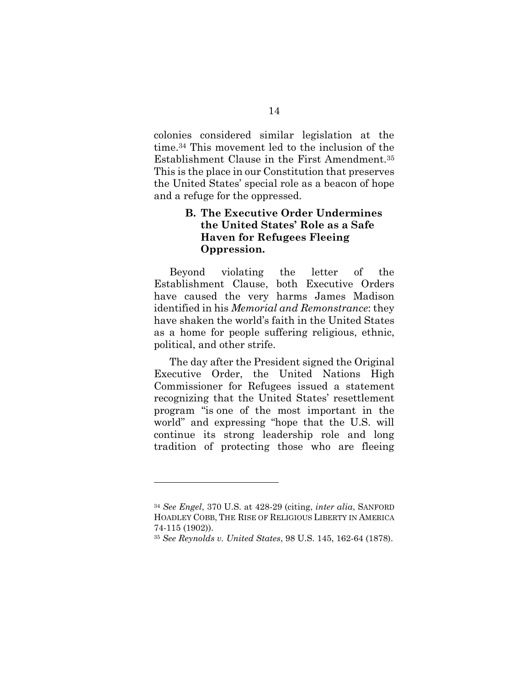colonies considered similar legislation at the time.<sup>34</sup> This movement led to the inclusion of the Establishment Clause in the First Amendment.<sup>35</sup> This is the place in our Constitution that preserves the United States' special role as a beacon of hope and a refuge for the oppressed.

### **B. The Executive Order Undermines the United States' Role as a Safe Haven for Refugees Fleeing Oppression.**

Beyond violating the letter of the Establishment Clause, both Executive Orders have caused the very harms James Madison identified in his *Memorial and Remonstrance*: they have shaken the world's faith in the United States as a home for people suffering religious, ethnic, political, and other strife.

The day after the President signed the Original Executive Order, the United Nations High Commissioner for Refugees issued a statement recognizing that the United States' resettlement program "is one of the most important in the world" and expressing "hope that the U.S. will continue its strong leadership role and long tradition of protecting those who are fleeing

<sup>34</sup> *See Engel*, 370 U.S. at 428-29 (citing, *inter alia*, SANFORD HOADLEY COBB, THE RISE OF RELIGIOUS LIBERTY IN AMERICA 74-115 (1902)).

<sup>35</sup> *See Reynolds v. United States*, 98 U.S. 145, 162-64 (1878).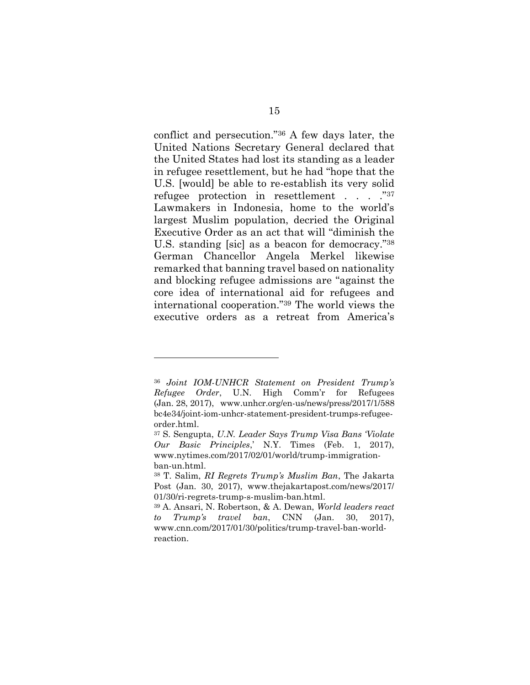conflict and persecution."<sup>36</sup> A few days later, the United Nations Secretary General declared that the United States had lost its standing as a leader in refugee resettlement, but he had "hope that the U.S. [would] be able to re-establish its very solid refugee protection in resettlement . . . ."<sup>37</sup> Lawmakers in Indonesia, home to the world's largest Muslim population, decried the Original Executive Order as an act that will "diminish the U.S. standing [sic] as a beacon for democracy."<sup>38</sup> German Chancellor Angela Merkel likewise remarked that banning travel based on nationality and blocking refugee admissions are "against the core idea of international aid for refugees and international cooperation."<sup>39</sup> The world views the executive orders as a retreat from America's

<sup>36</sup> *Joint IOM-UNHCR Statement on President Trump's Refugee Order*, U.N. High Comm'r for Refugees (Jan. 28, 2017), www.unhcr.org/en-us/news/press/2017/1/588 bc4e34/joint-iom-unhcr-statement-president-trumps-refugeeorder.html.

<sup>37</sup> S. Sengupta, *U.N. Leader Says Trump Visa Bans 'Violate Our Basic Principles*,' N.Y. Times (Feb. 1, 2017), www.nytimes.com/2017/02/01/world/trump-immigrationban-un.html.

<sup>38</sup> T. Salim, *RI Regrets Trump's Muslim Ban*, The Jakarta Post (Jan. 30, 2017), www.thejakartapost.com/news/2017/ 01/30/ri-regrets-trump-s-muslim-ban.html.

<sup>39</sup> A. Ansari, N. Robertson, & A. Dewan, *World leaders react to Trump's travel ban*, CNN (Jan. 30, 2017), www.cnn.com/2017/01/30/politics/trump-travel-ban-worldreaction.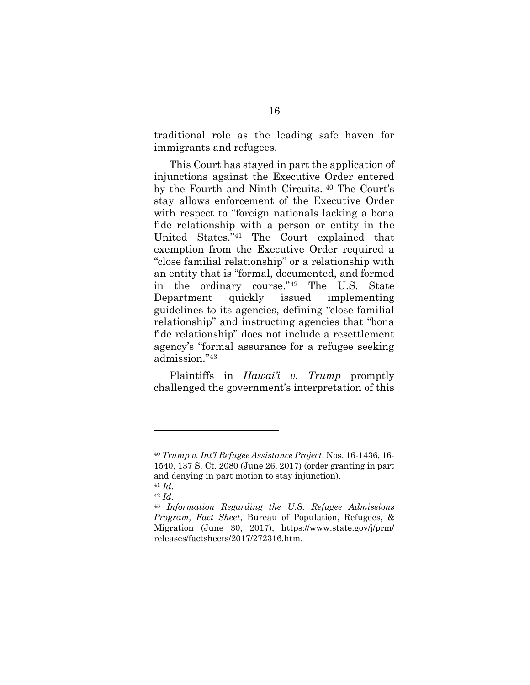traditional role as the leading safe haven for immigrants and refugees.

This Court has stayed in part the application of injunctions against the Executive Order entered by the Fourth and Ninth Circuits. <sup>40</sup> The Court's stay allows enforcement of the Executive Order with respect to "foreign nationals lacking a bona fide relationship with a person or entity in the United States."<sup>41</sup> The Court explained that exemption from the Executive Order required a "close familial relationship" or a relationship with an entity that is "formal, documented, and formed in the ordinary course."<sup>42</sup> The U.S. State Department quickly issued implementing guidelines to its agencies, defining "close familial relationship" and instructing agencies that "bona fide relationship" does not include a resettlement agency's "formal assurance for a refugee seeking admission."<sup>43</sup>

Plaintiffs in *Hawai'i v. Trump* promptly challenged the government's interpretation of this

<sup>40</sup> *Trump v. Int'l Refugee Assistance Project*, Nos. 16-1436, 16- 1540, 137 S. Ct. 2080 (June 26, 2017) (order granting in part and denying in part motion to stay injunction).

<sup>41</sup> *Id*.

<sup>42</sup> *Id*.

<sup>43</sup> *Information Regarding the U.S. Refugee Admissions Program, Fact Sheet*, Bureau of Population, Refugees, & Migration (June 30, 2017), https://www.state.gov/j/prm/ releases/factsheets/2017/272316.htm.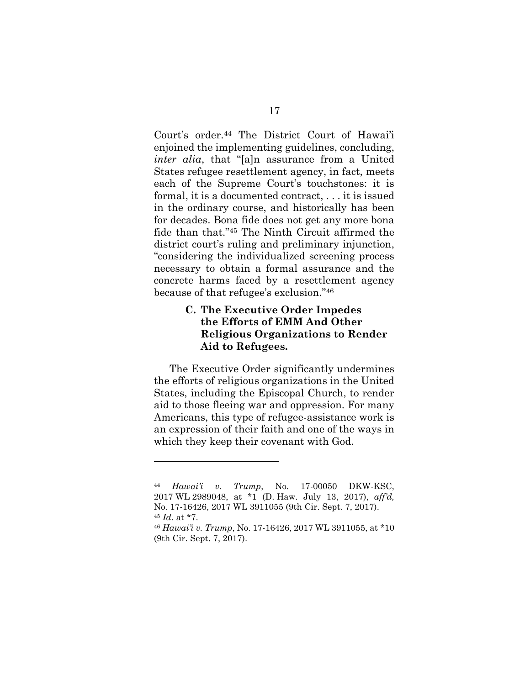Court's order.<sup>44</sup> The District Court of Hawai'i enjoined the implementing guidelines, concluding, *inter alia*, that "[a]n assurance from a United States refugee resettlement agency, in fact, meets each of the Supreme Court's touchstones: it is formal, it is a documented contract, . . . it is issued in the ordinary course, and historically has been for decades. Bona fide does not get any more bona fide than that."<sup>45</sup> The Ninth Circuit affirmed the district court's ruling and preliminary injunction, "considering the individualized screening process necessary to obtain a formal assurance and the concrete harms faced by a resettlement agency because of that refugee's exclusion." 46

### **C. The Executive Order Impedes the Efforts of EMM And Other Religious Organizations to Render Aid to Refugees.**

The Executive Order significantly undermines the efforts of religious organizations in the United States, including the Episcopal Church, to render aid to those fleeing war and oppression. For many Americans, this type of refugee-assistance work is an expression of their faith and one of the ways in which they keep their covenant with God.

<sup>44</sup> *Hawai'i v. Trump*, No. 17-00050 DKW-KSC, 2017 WL 2989048, at \*1 (D. Haw. July 13, 2017), *aff'd,*  No. 17-16426, 2017 WL 3911055 (9th Cir. Sept. 7, 2017).

<sup>45</sup> *Id.* at \*7.

<sup>46</sup> *Hawai'i v. Trump*, No. 17-16426, 2017 WL 3911055, at \*10 (9th Cir. Sept. 7, 2017).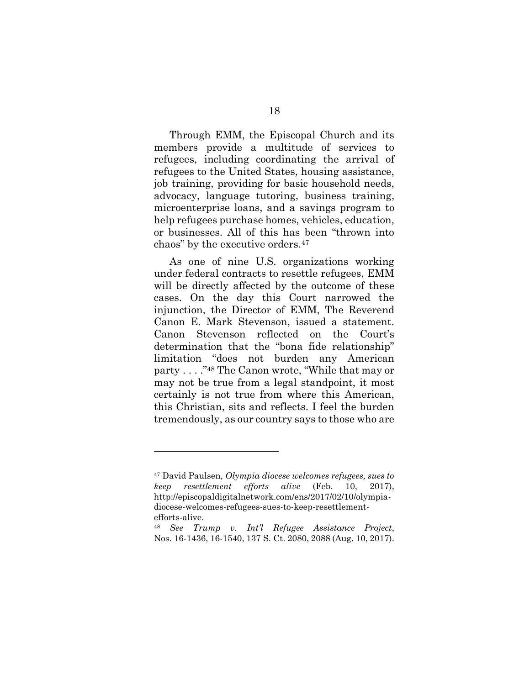Through EMM, the Episcopal Church and its members provide a multitude of services to refugees, including coordinating the arrival of refugees to the United States, housing assistance, job training, providing for basic household needs, advocacy, language tutoring, business training, microenterprise loans, and a savings program to help refugees purchase homes, vehicles, education, or businesses. All of this has been "thrown into chaos" by the executive orders.<sup>47</sup>

As one of nine U.S. organizations working under federal contracts to resettle refugees, EMM will be directly affected by the outcome of these cases. On the day this Court narrowed the injunction, the Director of EMM, The Reverend Canon E. Mark Stevenson, issued a statement. Canon Stevenson reflected on the Court's determination that the "bona fide relationship" limitation "does not burden any American party . . . ."<sup>48</sup> The Canon wrote, "While that may or may not be true from a legal standpoint, it most certainly is not true from where this American, this Christian, sits and reflects. I feel the burden tremendously, as our country says to those who are

<sup>47</sup> David Paulsen, *Olympia diocese welcomes refugees, sues to keep resettlement efforts alive* (Feb. 10, 2017), http://episcopaldigitalnetwork.com/ens/2017/02/10/olympiadiocese-welcomes-refugees-sues-to-keep-resettlementefforts-alive.

<sup>48</sup> *See Trump v. Int'l Refugee Assistance Project*, Nos. 16-1436, 16-1540, 137 S. Ct. 2080, 2088 (Aug. 10, 2017).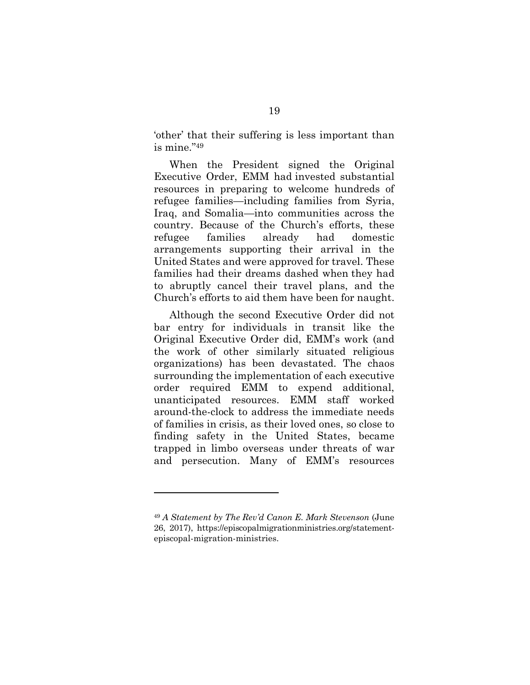'other' that their suffering is less important than is mine." 49

When the President signed the Original Executive Order, EMM had invested substantial resources in preparing to welcome hundreds of refugee families—including families from Syria, Iraq, and Somalia—into communities across the country. Because of the Church's efforts, these refugee families already had domestic arrangements supporting their arrival in the United States and were approved for travel. These families had their dreams dashed when they had to abruptly cancel their travel plans, and the Church's efforts to aid them have been for naught.

Although the second Executive Order did not bar entry for individuals in transit like the Original Executive Order did, EMM's work (and the work of other similarly situated religious organizations) has been devastated. The chaos surrounding the implementation of each executive order required EMM to expend additional, unanticipated resources. EMM staff worked around-the-clock to address the immediate needs of families in crisis, as their loved ones, so close to finding safety in the United States, became trapped in limbo overseas under threats of war and persecution. Many of EMM's resources

<sup>49</sup> *A Statement by The Rev'd Canon E. Mark Stevenson* (June 26, 2017), https://episcopalmigrationministries.org/statementepiscopal-migration-ministries.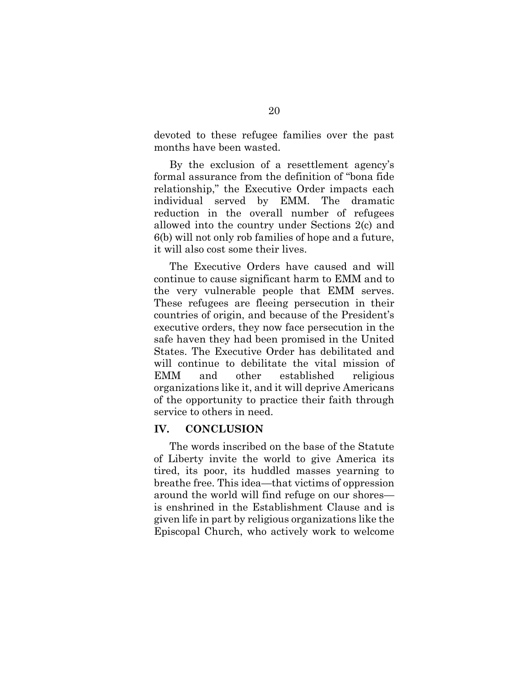devoted to these refugee families over the past months have been wasted.

By the exclusion of a resettlement agency's formal assurance from the definition of "bona fide relationship," the Executive Order impacts each individual served by EMM. The dramatic reduction in the overall number of refugees allowed into the country under Sections 2(c) and 6(b) will not only rob families of hope and a future, it will also cost some their lives.

The Executive Orders have caused and will continue to cause significant harm to EMM and to the very vulnerable people that EMM serves. These refugees are fleeing persecution in their countries of origin, and because of the President's executive orders, they now face persecution in the safe haven they had been promised in the United States. The Executive Order has debilitated and will continue to debilitate the vital mission of EMM and other established religious organizations like it, and it will deprive Americans of the opportunity to practice their faith through service to others in need.

#### **IV. CONCLUSION**

The words inscribed on the base of the Statute of Liberty invite the world to give America its tired, its poor, its huddled masses yearning to breathe free. This idea—that victims of oppression around the world will find refuge on our shores is enshrined in the Establishment Clause and is given life in part by religious organizations like the Episcopal Church, who actively work to welcome